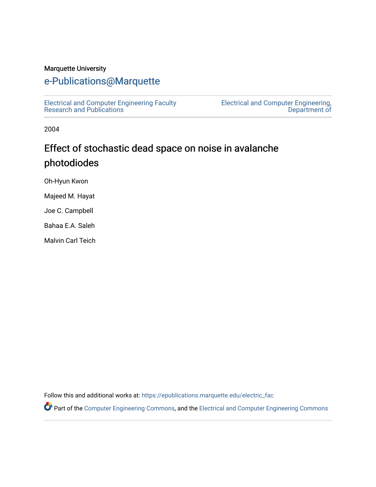#### Marquette University

## [e-Publications@Marquette](https://epublications.marquette.edu/)

[Electrical and Computer Engineering Faculty](https://epublications.marquette.edu/electric_fac) [Research and Publications](https://epublications.marquette.edu/electric_fac) 

[Electrical and Computer Engineering,](https://epublications.marquette.edu/electric)  [Department of](https://epublications.marquette.edu/electric) 

2004

# Effect of stochastic dead space on noise in avalanche photodiodes

Oh-Hyun Kwon

Majeed M. Hayat

Joe C. Campbell

Bahaa E.A. Saleh

Malvin Carl Teich

Follow this and additional works at: [https://epublications.marquette.edu/electric\\_fac](https://epublications.marquette.edu/electric_fac?utm_source=epublications.marquette.edu%2Felectric_fac%2F532&utm_medium=PDF&utm_campaign=PDFCoverPages) 

Part of the [Computer Engineering Commons,](http://network.bepress.com/hgg/discipline/258?utm_source=epublications.marquette.edu%2Felectric_fac%2F532&utm_medium=PDF&utm_campaign=PDFCoverPages) and the [Electrical and Computer Engineering Commons](http://network.bepress.com/hgg/discipline/266?utm_source=epublications.marquette.edu%2Felectric_fac%2F532&utm_medium=PDF&utm_campaign=PDFCoverPages)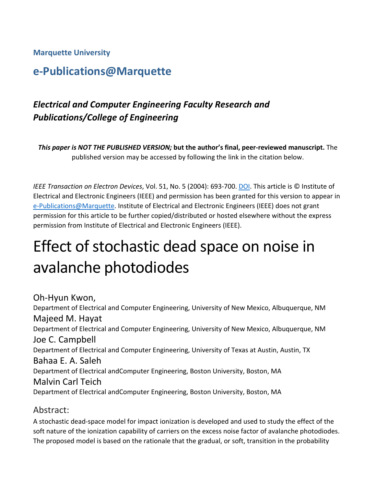### **Marquette University**

# **e-Publications@Marquette**

# *Electrical and Computer Engineering Faculty Research and Publications/College of Engineering*

*This paper is NOT THE PUBLISHED VERSION;* **but the author's final, peer-reviewed manuscript.** The published version may be accessed by following the link in the citation below.

*IEEE Transaction on Electron Devices*, Vol. 51, No. 5 (2004): 693-700[. DOI.](https://dx.doi.org/10.1109/TED.2004.825798) This article is © Institute of Electrical and Electronic Engineers (IEEE) and permission has been granted for this version to appear in [e-Publications@Marquette.](http://epublications.marquette.edu/) Institute of Electrical and Electronic Engineers (IEEE) does not grant permission for this article to be further copied/distributed or hosted elsewhere without the express permission from Institute of Electrical and Electronic Engineers (IEEE).

# Effect of stochastic dead space on noise in avalanche photodiodes

Oh-Hyun Kwon, Department of Electrical and Computer Engineering, University of New Mexico, Albuquerque, NM Majeed M. Hayat Department of Electrical and Computer Engineering, University of New Mexico, Albuquerque, NM Joe C. Campbell Department of Electrical and Computer Engineering, University of Texas at Austin, Austin, TX Bahaa E. A. Saleh Department of Electrical andComputer Engineering, Boston University, Boston, MA Malvin Carl Teich Department of Electrical andComputer Engineering, Boston University, Boston, MA

### Abstract:

A stochastic dead-space model for impact ionization is developed and used to study the effect of the soft nature of the ionization capability of carriers on the excess noise factor of avalanche photodiodes. The proposed model is based on the rationale that the gradual, or soft, transition in the probability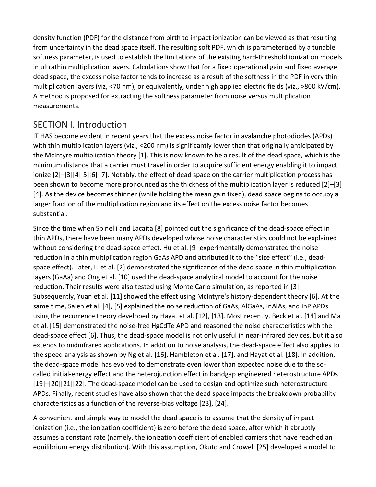density function (PDF) for the distance from birth to impact ionization can be viewed as that resulting from uncertainty in the dead space itself. The resulting soft PDF, which is parameterized by a tunable softness parameter, is used to establish the limitations of the existing hard-threshold ionization models in ultrathin multiplication layers. Calculations show that for a fixed operational gain and fixed average dead space, the excess noise factor tends to increase as a result of the softness in the PDF in very thin multiplication layers (viz, <70 nm), or equivalently, under high applied electric fields (viz., >800 kV/cm). A method is proposed for extracting the softness parameter from noise versus multiplication measurements.

## SECTION I. Introduction

IT HAS become evident in recent years that the excess noise factor in avalanche photodiodes (APDs) with thin multiplication layers (viz., <200 nm) is significantly lower than that originally anticipated by the McIntyre multiplication theory [1]. This is now known to be a result of the dead space, which is the minimum distance that a carrier must travel in order to acquire sufficient energy enabling it to impact ionize [2]–[3][4][5][6] [7]. Notably, the effect of dead space on the carrier multiplication process has been shown to become more pronounced as the thickness of the multiplication layer is reduced [2]–[3] [4]. As the device becomes thinner (while holding the mean gain fixed), dead space begins to occupy a larger fraction of the multiplication region and its effect on the excess noise factor becomes substantial.

Since the time when Spinelli and Lacaita [8] pointed out the significance of the dead-space effect in thin APDs, there have been many APDs developed whose noise characteristics could not be explained without considering the dead-space effect. Hu et al. [9] experimentally demonstrated the noise reduction in a thin multiplication region GaAs APD and attributed it to the "size effect" (i.e., deadspace effect). Later, Li et al. [2] demonstrated the significance of the dead space in thin multiplication layers (GaAa) and Ong et al. [10] used the dead-space analytical model to account for the noise reduction. Their results were also tested using Monte Carlo simulation, as reported in [3]. Subsequently, Yuan et al. [11] showed the effect using McIntyre's history-dependent theory [6]. At the same time, Saleh et al. [4], [5] explained the noise reduction of GaAs, AlGaAs, InAlAs, and InP APDs using the recurrence theory developed by Hayat et al. [12], [13]. Most recently, Beck et al. [14] and Ma et al. [15] demonstrated the noise-free HgCdTe APD and reasoned the noise characteristics with the dead-space effect [6]. Thus, the dead-space model is not only useful in near-infrared devices, but it also extends to midinfrared applications. In addition to noise analysis, the dead-space effect also applies to the speed analysis as shown by Ng et al. [16], Hambleton et al. [17], and Hayat et al. [18]. In addition, the dead-space model has evolved to demonstrate even lower than expected noise due to the socalled initial-energy effect and the heterojunction effect in bandgap engineered heterostructure APDs [19]–[20][21][22]. The dead-space model can be used to design and optimize such heterostructure APDs. Finally, recent studies have also shown that the dead space impacts the breakdown probability characteristics as a function of the reverse-bias voltage [23], [24].

A convenient and simple way to model the dead space is to assume that the density of impact ionization (i.e., the ionization coefficient) is zero before the dead space, after which it abruptly assumes a constant rate (namely, the ionization coefficient of enabled carriers that have reached an equilibrium energy distribution). With this assumption, Okuto and Crowell [25] developed a model to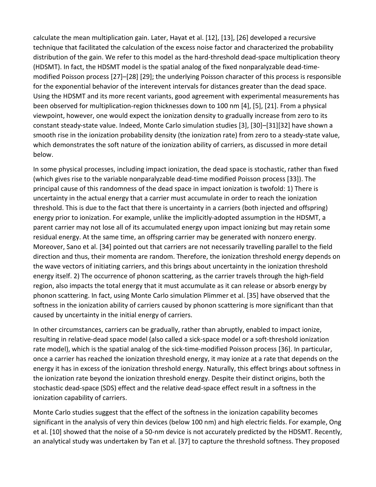calculate the mean multiplication gain. Later, Hayat et al. [12], [13], [26] developed a recursive technique that facilitated the calculation of the excess noise factor and characterized the probability distribution of the gain. We refer to this model as the hard-threshold dead-space multiplication theory (HDSMT). In fact, the HDSMT model is the spatial analog of the fixed nonparalyzable dead-timemodified Poisson process [27]–[28] [29]; the underlying Poisson character of this process is responsible for the exponential behavior of the interevent intervals for distances greater than the dead space. Using the HDSMT and its more recent variants, good agreement with experimental measurements has been observed for multiplication-region thicknesses down to 100 nm [4], [5], [21]. From a physical viewpoint, however, one would expect the ionization density to gradually increase from zero to its constant steady-state value. Indeed, Monte Carlo simulation studies [3], [30]–[31][32] have shown a smooth rise in the ionization probability density (the ionization rate) from zero to a steady-state value, which demonstrates the soft nature of the ionization ability of carriers, as discussed in more detail below.

In some physical processes, including impact ionization, the dead space is stochastic, rather than fixed (which gives rise to the variable nonparalyzable dead-time modified Poisson process [33]). The principal cause of this randomness of the dead space in impact ionization is twofold: 1) There is uncertainty in the actual energy that a carrier must accumulate in order to reach the ionization threshold. This is due to the fact that there is uncertainty in a carriers (both injected and offspring) energy prior to ionization. For example, unlike the implicitly-adopted assumption in the HDSMT, a parent carrier may not lose all of its accumulated energy upon impact ionizing but may retain some residual energy. At the same time, an offspring carrier may be generated with nonzero energy. Moreover, Sano et al. [34] pointed out that carriers are not necessarily travelling parallel to the field direction and thus, their momenta are random. Therefore, the ionization threshold energy depends on the wave vectors of initiating carriers, and this brings about uncertainty in the ionization threshold energy itself. 2) The occurrence of phonon scattering, as the carrier travels through the high-field region, also impacts the total energy that it must accumulate as it can release or absorb energy by phonon scattering. In fact, using Monte Carlo simulation Plimmer et al. [35] have observed that the softness in the ionization ability of carriers caused by phonon scattering is more significant than that caused by uncertainty in the initial energy of carriers.

In other circumstances, carriers can be gradually, rather than abruptly, enabled to impact ionize, resulting in relative-dead space model (also called a sick-space model or a soft-threshold ionization rate model), which is the spatial analog of the sick-time-modified Poisson process [36]. In particular, once a carrier has reached the ionization threshold energy, it may ionize at a rate that depends on the energy it has in excess of the ionization threshold energy. Naturally, this effect brings about softness in the ionization rate beyond the ionization threshold energy. Despite their distinct origins, both the stochastic dead-space (SDS) effect and the relative dead-space effect result in a softness in the ionization capability of carriers.

Monte Carlo studies suggest that the effect of the softness in the ionization capability becomes significant in the analysis of very thin devices (below 100 nm) and high electric fields. For example, Ong et al. [10] showed that the noise of a 50-nm device is not accurately predicted by the HDSMT. Recently, an analytical study was undertaken by Tan et al. [37] to capture the threshold softness. They proposed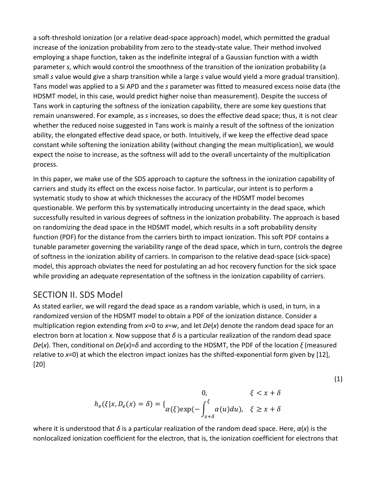a soft-threshold ionization (or a relative dead-space approach) model, which permitted the gradual increase of the ionization probability from zero to the steady-state value. Their method involved employing a shape function, taken as the indefinite integral of a Gaussian function with a width parameter *s*, which would control the smoothness of the transition of the ionization probability (a small *s* value would give a sharp transition while a large *s* value would yield a more gradual transition). Tans model was applied to a Si APD and the *s* parameter was fitted to measured excess noise data (the HDSMT model, in this case, would predict higher noise than measurement). Despite the success of Tans work in capturing the softness of the ionization capability, there are some key questions that remain unanswered. For example, as *s* increases, so does the effective dead space; thus, it is not clear whether the reduced noise suggested in Tans work is mainly a result of the softness of the ionization ability, the elongated effective dead space, or both. Intuitively, if we keep the effective dead space constant while softening the ionization ability (without changing the mean multiplication), we would expect the noise to increase, as the softness will add to the overall uncertainty of the multiplication process.

In this paper, we make use of the SDS approach to capture the softness in the ionization capability of carriers and study its effect on the excess noise factor. In particular, our intent is to perform a systematic study to show at which thicknesses the accuracy of the HDSMT model becomes questionable. We perform this by systematically introducing uncertainty in the dead space, which successfully resulted in various degrees of softness in the ionization probability. The approach is based on randomizing the dead space in the HDSMT model, which results in a soft probability density function (PDF) for the distance from the carriers birth to impact ionization. This soft PDF contains a tunable parameter governing the variability range of the dead space, which in turn, controls the degree of softness in the ionization ability of carriers. In comparison to the relative dead-space (sick-space) model, this approach obviates the need for postulating an ad hoc recovery function for the sick space while providing an adequate representation of the softness in the ionization capability of carriers.

#### SECTION II. SDS Model

As stated earlier, we will regard the dead space as a random variable, which is used, in turn, in a randomized version of the HDSMT model to obtain a PDF of the ionization distance. Consider a multiplication region extending from *x*=0 to *x*=*w*, and let *De*(*x*) denote the random dead space for an electron born at location x. Now suppose that  $\delta$  is a particular realization of the random dead space *De*(*x*). Then, conditional on *De*(*x*)=*δ* and according to the HDSMT, the PDF of the location *ξ* (measured relative to *x*=0) at which the electron impact ionizes has the shifted-exponential form given by [12], [20]

$$
0, \qquad \xi < x + \delta
$$
\n
$$
h_e(\xi|x, D_e(x) = \delta) = \left\{ \underset{\alpha(\xi) \in \text{exp}\left(-\int_{x+\delta}^{\xi} \alpha(u) du \right), \quad \xi \ge x + \delta \right\}
$$

where it is understood that *δ* is a particular realization of the random dead space. Here, *α*(*x*) is the nonlocalized ionization coefficient for the electron, that is, the ionization coefficient for electrons that

(1)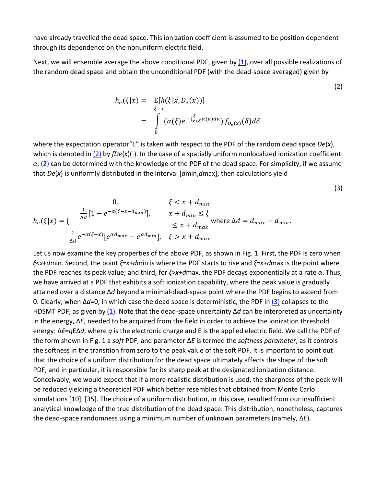have already travelled the dead space. This ionization coefficient is assumed to be position dependent through its dependence on the nonuniform electric field.

Next, we will ensemble average the above conditional PDF, given by  $(1)$ , over all possible realizations of the random dead space and obtain the unconditional PDF (with the dead-space averaged) given by

(2)

(3)

$$
h_e(\xi|x) = \mathbb{E}[h(\xi|x, D_e(x))]
$$
  
= 
$$
\int_{0}^{\xi-x} (\alpha(\xi)e^{-\int_{x+\delta}^{\xi} \alpha(u)du}) f_{D_e(x)}(\delta) d\delta
$$

where the expectation operator"E" is taken with respect to the PDF of the random dead space *De*(*x*), which is denoted in [\(2\)](https://ieeexplore.ieee.org/document/#deqn2) by *fDe*(*x*)(⋅). In the case of a spatially uniform nonlocalized ionization coefficient *α*, [\(2\)](https://ieeexplore.ieee.org/document/#deqn2) can be determined with the knowledge of the PDF of the dead space. For simplicity, if we assume that *De*(*x*) is uniformly distributed in the interval [*d*min,*d*max], then calculations yield

0, 
$$
\xi < x + d_{min}
$$
\n
$$
h_e(\xi|x) = \begin{cases} \frac{1}{\Delta d} [1 - e^{-\alpha(\xi - x - d_{min})}], & x + d_{min} \le \xi \\ \le x + d_{max} \end{cases} \text{ where } \Delta d = d_{max} - d_{min}.
$$
\n
$$
\frac{1}{\Delta d} e^{-\alpha(\xi - x)} [e^{\alpha d_{max}} - e^{\alpha d_{min}}], \quad \xi > x + d_{max}
$$

Let us now examine the key properties of the above PDF, as shown in Fig. 1. First, the PDF is zero when *ξ*<*x*+*d*min. Second, the point *ξ*=*x*+*d*min is where the PDF starts to rise and *ξ*=*x*+*d*max is the point where the PDF reaches its peak value; and third, for *ξ*>*x*+*d*max, the PDF decays exponentially at a rate *α*. Thus, we have arrived at a PDF that exhibits a soft ionization capability, where the peak value is gradually attained over a distance Δ*d* beyond a minimal-dead-space point where the PDF begins to ascend from 0. Clearly, when Δ*d*=0, in which case the dead space is deterministic, the PDF in [\(3\)](https://ieeexplore.ieee.org/document/#deqn3) collapses to the HDSMT PDF, as given by [\(1\).](https://ieeexplore.ieee.org/document/#deqn1) Note that the dead-space uncertainty Δ*d* can be interpreted as uncertainty in the energy, Δ*E*, needed to be acquired from the field in order to achieve the ionization threshold energy: Δ*E*=*q*EΔ*d*, where *q* is the electronic charge and E is the applied electric field. We call the PDF of the form shown in Fig. 1 a *soft* PDF, and parameter Δ*E* is termed the *softness parameter*, as it controls the softness in the transition from zero to the peak value of the soft PDF. It is important to point out that the choice of a uniform distribution for the dead space ultimately affects the shape of the soft PDF, and in particular, it is responsible for its sharp peak at the designated ionization distance. Conceivably, we would expect that if a more realistic distribution is used, the sharpness of the peak will be reduced yielding a theoretical PDF which better resembles that obtained from Monte Carlo simulations [10], [35]. The choice of a uniform distribution, in this case, resulted from our insufficient analytical knowledge of the true distribution of the dead space. This distribution, nonetheless, captures the dead-space randomness using a minimum number of unknown parameters (namely, Δ*E*).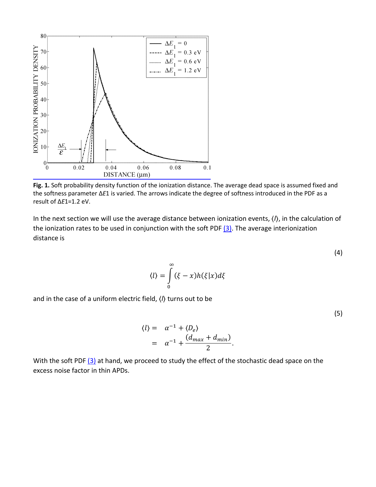

**Fig. 1.** Soft probability density function of the ionization distance. The average dead space is assumed fixed and the softness parameter Δ*E*1 is varied. The arrows indicate the degree of softness introduced in the PDF as a result of Δ*E*1=1.2 eV.

In the next section we will use the average distance between ionization events, ⟨*l*⟩, in the calculation of the ionization rates to be used in conjunction with the soft PDF  $(3)$ . The average interionization distance is

$$
\langle l \rangle = \int_{0}^{\infty} (\xi - x) h(\xi | x) d\xi
$$

and in the case of a uniform electric field, ⟨*l*⟩ turns out to be

$$
\langle l \rangle = \alpha^{-1} + \langle D_e \rangle
$$
  
=  $\alpha^{-1} + \frac{(d_{max} + d_{min})}{2}$ .

With the soft PDF  $(3)$  at hand, we proceed to study the effect of the stochastic dead space on the excess noise factor in thin APDs.

(4)

(5)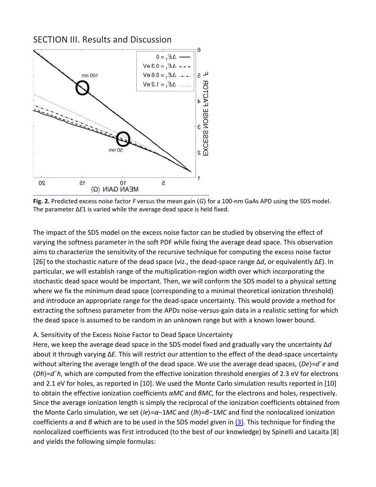#### SECTION III. Results and Discussion



**Fig. 2.** Predicted excess noise factor *F* versus the mean gain ⟨*G*⟩ for a 100-nm GaAs APD using the SDS model. The parameter Δ*E*1 is varied while the average dead space is held fixed.

The impact of the SDS model on the excess noise factor can be studied by observing the effect of varying the softness parameter in the soft PDF while fixing the average dead space. This observation aims to characterize the sensitivity of the recursive technique for computing the excess noise factor [26] to the stochastic nature of the dead space (viz., the dead-space range Δ*d*, or equivalently Δ*E*). In particular, we will establish range of the multiplication-region width over which incorporating the stochastic dead space would be important. Then, we will conform the SDS model to a physical setting where we fix the minimum dead space (corresponding to a minimal theoretical ionization threshold) and introduce an appropriate range for the dead-space uncertainty. This would provide a method for extracting the softness parameter from the APDs noise-versus-gain data in a realistic setting for which the dead space is assumed to be random in an unknown range but with a known lower bound.

#### A. Sensitivity of the Excess Noise Factor to Dead Space Uncertainty

Here, we keep the average dead space in the SDS model fixed and gradually vary the uncertainty Δ*d* about it through varying Δ*E*. This will restrict our attention to the effect of the dead-space uncertainty without altering the average length of the dead space. We use the average dead spaces,  $\langle De \rangle = d^-e$  and ⟨*Dh*⟩=*d*¯*h*, which are computed from the effective ionization threshold energies of 2.3 eV for electrons and 2.1 eV for holes, as reported in [10]. We used the Monte Carlo simulation results reported in [10] to obtain the effective ionization coefficients *αMC* and *βMC*, for the electrons and holes, respectively. Since the average ionization length is simply the reciprocal of the ionization coefficients obtained from the Monte Carlo simulation, we set ⟨*le*⟩=*α*−1*MC* and ⟨*lh*⟩=*β*−1*MC* and find the nonlocalized ionization coefficients *α* and *β* which are to be used in the SDS model given in [\(3\).](https://ieeexplore.ieee.org/document/#deqn3) This technique for finding the nonlocalized coefficients was first introduced (to the best of our knowledge) by Spinelli and Lacaita [8] and yields the following simple formulas: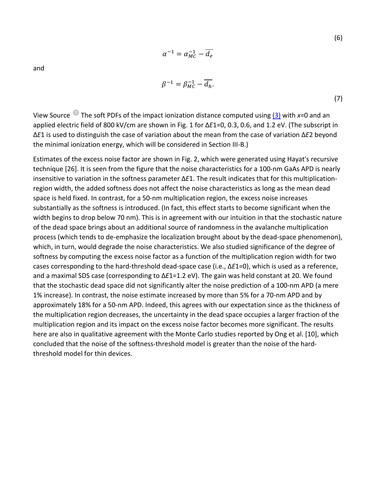$$
\quad \text{and} \quad
$$

$$
\beta^{-1} = \beta_{MC}^{-1} - \overline{d_h}.\tag{7}
$$

View Source The soft PDFs of the impact ionization distance computed using [\(3\)](https://ieeexplore.ieee.org/document/#deqn3) with *x*=0 and an applied electric field of 800 kV/cm are shown in Fig. 1 for Δ*E*1=0, 0.3, 0.6, and 1.2 eV. (The subscript in Δ*E*1 is used to distinguish the case of variation about the mean from the case of variation Δ*E*2 beyond the minimal ionization energy, which will be considered in Section III-B.)

 $\alpha^{-1} = \alpha_{MC}^{-1} - d_e$ 

Estimates of the excess noise factor are shown in Fig. 2, which were generated using Hayat's recursive technique [26]. It is seen from the figure that the noise characteristics for a 100-nm GaAs APD is nearly insensitive to variation in the softness parameter Δ*E*1. The result indicates that for this multiplicationregion width, the added softness does not affect the noise characteristics as long as the mean dead space is held fixed. In contrast, for a 50-nm multiplication region, the excess noise increases substantially as the softness is introduced. (In fact, this effect starts to become significant when the width begins to drop below 70 nm). This is in agreement with our intuition in that the stochastic nature of the dead space brings about an additional source of randomness in the avalanche multiplication process (which tends to de-emphasize the localization brought about by the dead-space phenomenon), which, in turn, would degrade the noise characteristics. We also studied significance of the degree of softness by computing the excess noise factor as a function of the multiplication region width for two cases corresponding to the hard-threshold dead-space case (i.e., Δ*E*1=0), which is used as a reference, and a maximal SDS case (corresponding to Δ*E*1=1.2 eV). The gain was held constant at 20. We found that the stochastic dead space did not significantly alter the noise prediction of a 100-nm APD (a mere 1% increase). In contrast, the noise estimate increased by more than 5% for a 70-nm APD and by approximately 18% for a 50-nm APD. Indeed, this agrees with our expectation since as the thickness of the multiplication region decreases, the uncertainty in the dead space occupies a larger fraction of the multiplication region and its impact on the excess noise factor becomes more significant. The results here are also in qualitative agreement with the Monte Carlo studies reported by Ong et al. [10], which concluded that the noise of the softness-threshold model is greater than the noise of the hardthreshold model for thin devices.

(6)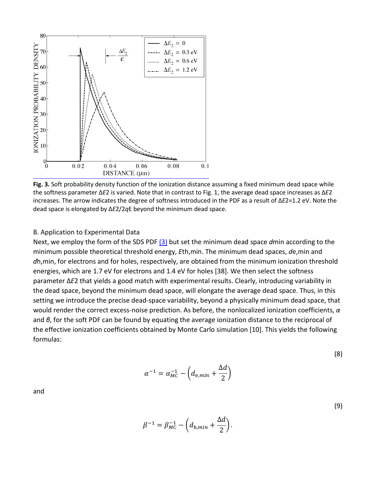

**Fig. 3.** Soft probability density function of the ionization distance assuming a fixed minimum dead space while the softness parameter Δ*E*2 is varied. Note that in contrast to Fig. 1, the average dead space increases as Δ*E*2 increases. The arrow indicates the degree of softness introduced in the PDF as a result of Δ*E*2=1.2 eV. Note the dead space is elongated by Δ*E*2/2*q*E beyond the minimum dead space.

#### B. Application to Experimental Data

Next, we employ the form of the SDS PDF [\(3\)](https://ieeexplore.ieee.org/document/#deqn3) but set the minimum dead space *d*min according to the minimum possible theoretical threshold energy, *E*th,min. The minimum dead spaces, *d*e,min and *d*h,min, for electrons and for holes, respectively, are obtained from the minimum ionization threshold energies, which are 1.7 eV for electrons and 1.4 eV for holes [38]. We then select the softness parameter Δ*E*2 that yields a good match with experimental results. Clearly, introducing variability in the dead space, beyond the minimum dead space, will elongate the average dead space. Thus, in this setting we introduce the precise dead-space variability, beyond a physically minimum dead space, that would render the correct excess-noise prediction. As before, the nonlocalized ionization coefficients, *α* and *β*, for the soft PDF can be found by equating the average ionization distance to the reciprocal of the effective ionization coefficients obtained by Monte Carlo simulation [10]. This yields the following formulas:

$$
\alpha^{-1} = \alpha_{MC}^{-1} - \left(d_{\mathrm{e},min} + \frac{\Delta d}{2}\right)
$$

and

$$
\beta^{-1} = \beta_{MC}^{-1} - \left(d_{\text{h},min} + \frac{\Delta d}{2}\right).
$$

(8)

(9)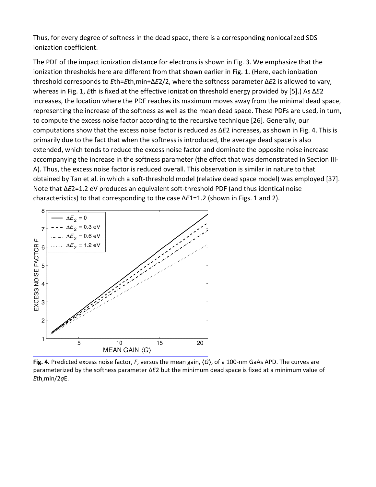Thus, for every degree of softness in the dead space, there is a corresponding nonlocalized SDS ionization coefficient.

The PDF of the impact ionization distance for electrons is shown in Fig. 3. We emphasize that the ionization thresholds here are different from that shown earlier in Fig. 1. (Here, each ionization threshold corresponds to *E*th=*E*th,min+Δ*E*2/2, where the softness parameter Δ*E*2 is allowed to vary, whereas in Fig. 1, *E*th is fixed at the effective ionization threshold energy provided by [5].) As Δ*E*2 increases, the location where the PDF reaches its maximum moves away from the minimal dead space, representing the increase of the softness as well as the mean dead space. These PDFs are used, in turn, to compute the excess noise factor according to the recursive technique [26]. Generally, our computations show that the excess noise factor is reduced as Δ*E*2 increases, as shown in Fig. 4. This is primarily due to the fact that when the softness is introduced, the average dead space is also extended, which tends to reduce the excess noise factor and dominate the opposite noise increase accompanying the increase in the softness parameter (the effect that was demonstrated in Section III-A). Thus, the excess noise factor is reduced overall. This observation is similar in nature to that obtained by Tan et al. in which a soft-threshold model (relative dead space model) was employed [37]. Note that Δ*E*2=1.2 eV produces an equivalent soft-threshold PDF (and thus identical noise characteristics) to that corresponding to the case Δ*E*1=1.2 (shown in Figs. 1 and 2).



**Fig. 4.** Predicted excess noise factor, *F*, versus the mean gain, ⟨*G*⟩, of a 100-nm GaAs APD. The curves are parameterized by the softness parameter Δ*E*2 but the minimum dead space is fixed at a minimum value of *E*th,min/2*q*E.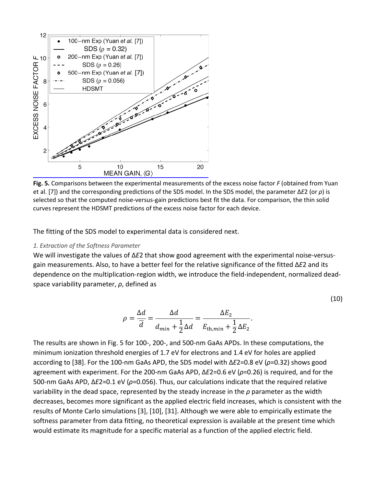

**Fig. 5.** Comparisons between the experimental measurements of the excess noise factor *F* (obtained from Yuan et al. [7]) and the corresponding predictions of the SDS model. In the SDS model, the parameter Δ*E*2 (or *ρ*) is selected so that the computed noise-versus-gain predictions best fit the data. For comparison, the thin solid curves represent the HDSMT predictions of the excess noise factor for each device.

The fitting of the SDS model to experimental data is considered next.

#### *1. Extraction of the Softness Parameter*

We will investigate the values of Δ*E*2 that show good agreement with the experimental noise-versusgain measurements. Also, to have a better feel for the relative significance of the fitted Δ*E*2 and its dependence on the multiplication-region width, we introduce the field-independent, normalized deadspace variability parameter, *ρ*, defined as

$$
\rho = \frac{\Delta d}{\overline{d}} = \frac{\Delta d}{d_{min} + \frac{1}{2}\Delta d} = \frac{\Delta E_2}{E_{th,min} + \frac{1}{2}\Delta E_2}.
$$

(10)

The results are shown in Fig. 5 for 100-, 200-, and 500-nm GaAs APDs. In these computations, the minimum ionization threshold energies of 1.7 eV for electrons and 1.4 eV for holes are applied according to [38]. For the 100-nm GaAs APD, the SDS model with Δ*E*2=0.8 eV (*ρ*=0.32) shows good agreement with experiment. For the 200-nm GaAs APD, Δ*E*2=0.6 eV (*ρ*=0.26) is required, and for the 500-nm GaAs APD, Δ*E*2=0.1 eV (*ρ*=0.056). Thus, our calculations indicate that the required relative variability in the dead space, represented by the steady increase in the *ρ* parameter as the width decreases, becomes more significant as the applied electric field increases, which is consistent with the results of Monte Carlo simulations [3], [10], [31]. Although we were able to empirically estimate the softness parameter from data fitting, no theoretical expression is available at the present time which would estimate its magnitude for a specific material as a function of the applied electric field.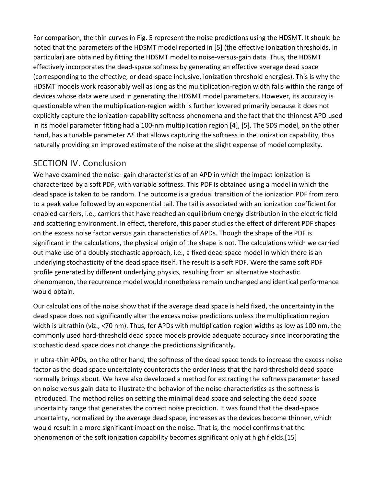For comparison, the thin curves in Fig. 5 represent the noise predictions using the HDSMT. It should be noted that the parameters of the HDSMT model reported in [5] (the effective ionization thresholds, in particular) are obtained by fitting the HDSMT model to noise-versus-gain data. Thus, the HDSMT effectively incorporates the dead-space softness by generating an effective average dead space (corresponding to the effective, or dead-space inclusive, ionization threshold energies). This is why the HDSMT models work reasonably well as long as the multiplication-region width falls within the range of devices whose data were used in generating the HDSMT model parameters. However, its accuracy is questionable when the multiplication-region width is further lowered primarily because it does not explicitly capture the ionization-capability softness phenomena and the fact that the thinnest APD used in its model parameter fitting had a 100-nm multiplication region [4], [5]. The SDS model, on the other hand, has a tunable parameter Δ*E* that allows capturing the softness in the ionization capability, thus naturally providing an improved estimate of the noise at the slight expense of model complexity.

## SECTION IV. Conclusion

We have examined the noise–gain characteristics of an APD in which the impact ionization is characterized by a soft PDF, with variable softness. This PDF is obtained using a model in which the dead space is taken to be random. The outcome is a gradual transition of the ionization PDF from zero to a peak value followed by an exponential tail. The tail is associated with an ionization coefficient for enabled carriers, i.e., carriers that have reached an equilibrium energy distribution in the electric field and scattering environment. In effect, therefore, this paper studies the effect of different PDF shapes on the excess noise factor versus gain characteristics of APDs. Though the shape of the PDF is significant in the calculations, the physical origin of the shape is not. The calculations which we carried out make use of a doubly stochastic approach, i.e., a fixed dead space model in which there is an underlying stochasticity of the dead space itself. The result is a soft PDF. Were the same soft PDF profile generated by different underlying physics, resulting from an alternative stochastic phenomenon, the recurrence model would nonetheless remain unchanged and identical performance would obtain.

Our calculations of the noise show that if the average dead space is held fixed, the uncertainty in the dead space does not significantly alter the excess noise predictions unless the multiplication region width is ultrathin (viz., <70 nm). Thus, for APDs with multiplication-region widths as low as 100 nm, the commonly used hard-threshold dead space models provide adequate accuracy since incorporating the stochastic dead space does not change the predictions significantly.

In ultra-thin APDs, on the other hand, the softness of the dead space tends to increase the excess noise factor as the dead space uncertainty counteracts the orderliness that the hard-threshold dead space normally brings about. We have also developed a method for extracting the softness parameter based on noise versus gain data to illustrate the behavior of the noise characteristics as the softness is introduced. The method relies on setting the minimal dead space and selecting the dead space uncertainty range that generates the correct noise prediction. It was found that the dead-space uncertainty, normalized by the average dead space, increases as the devices become thinner, which would result in a more significant impact on the noise. That is, the model confirms that the phenomenon of the soft ionization capability becomes significant only at high fields.[15]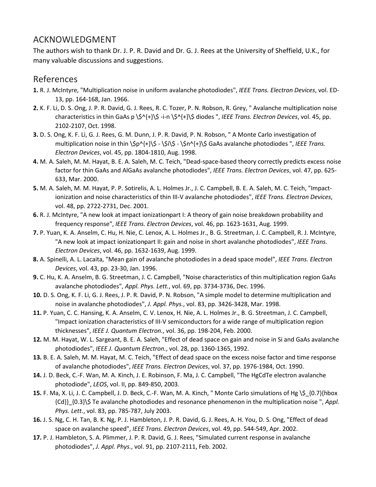## ACKNOWLEDGMENT

The authors wish to thank Dr. J. P. R. David and Dr. G. J. Rees at the University of Sheffield, U.K., for many valuable discussions and suggestions.

## References

- **1.** R. J. McIntyre, "Multiplication noise in uniform avalanche photodiodes", *IEEE Trans. Electron Devices*, vol. ED-13, pp. 164-168, Jan. 1966.
- **2.** K. F. Li, D. S. Ong, J. P. R. David, G. J. Rees, R. C. Tozer, P. N. Robson, R. Grey, " Avalanche multiplication noise characteristics in thin GaAs p \\$^{+}\\$ -i-n \\$^{+}\\$ diodes ", *IEEE Trans. Electron Devices*, vol. 45, pp. 2102-2107, Oct. 1998.
- **3.** D. S. Ong, K. F. Li, G. J. Rees, G. M. Dunn, J. P. R. David, P. N. Robson, " A Monte Carlo investigation of multiplication noise in thin \\$p^{+}\\$ - \\$i\\$ - \\$n^{+}\\$ GaAs avalanche photodiodes ", *IEEE Trans. Electron Devices*, vol. 45, pp. 1804-1810, Aug. 1998.
- **4.** M. A. Saleh, M. M. Hayat, B. E. A. Saleh, M. C. Teich, "Dead-space-based theory correctly predicts excess noise factor for thin GaAs and AlGaAs avalanche photodiodes", *IEEE Trans. Electron Devices*, vol. 47, pp. 625- 633, Mar. 2000.
- **5.** M. A. Saleh, M. M. Hayat, P. P. Sotirelis, A. L. Holmes Jr., J. C. Campbell, B. E. A. Saleh, M. C. Teich, "Impactionization and noise characteristics of thin III-V avalanche photodiodes", *IEEE Trans. Electron Devices*, vol. 48, pp. 2722-2731, Dec. 2001.
- **6.** R. J. McIntyre, "A new look at impact ionizationpart I: A theory of gain noise breakdown probability and frequency response", *IEEE Trans. Electron Devices*, vol. 46, pp. 1623-1631, Aug. 1999.
- **7.** P. Yuan, K. A. Anselm, C. Hu, H. Nie, C. Lenox, A. L. Holmes Jr., B. G. Streetman, J. C. Campbell, R. J. McIntyre, "A new look at impact ionizationpart II: gain and noise in short avalanche photodiodes", *IEEE Trans. Electron Devices*, vol. 46, pp. 1632-1639, Aug. 1999.
- **8.** A. Spinelli, A. L. Lacaita, "Mean gain of avalanche photodiodes in a dead space model", *IEEE Trans. Electron Devices*, vol. 43, pp. 23-30, Jan. 1996.
- **9.** C. Hu, K. A. Anselm, B. G. Streetman, J. C. Campbell, "Noise characteristics of thin multiplication region GaAs avalanche photodiodes", *Appl. Phys. Lett.*, vol. 69, pp. 3734-3736, Dec. 1996.
- **10.** D. S. Ong, K. F. Li, G. J. Rees, J. P. R. David, P. N. Robson, "A simple model to determine multiplication and noise in avalanche photodiodes", *J. Appl. Phys.*, vol. 83, pp. 3426-3428, Mar. 1998.
- **11.** P. Yuan, C. C. Hansing, K. A. Anselm, C. V. Lenox, H. Nie, A. L. Holmes Jr., B. G. Streetman, J. C. Campbell, "Impact ionization characteristics of III-V semiconductors for a wide range of multiplication region thicknesses", *IEEE J. Quantum Electron.*, vol. 36, pp. 198-204, Feb. 2000.
- **12.** M. M. Hayat, W. L. Sargeant, B. E. A. Saleh, "Effect of dead space on gain and noise in Si and GaAs avalanche photodiodes", *IEEE J. Quantum Electron.*, vol. 28, pp. 1360-1365, 1992.
- **13.** B. E. A. Saleh, M. M. Hayat, M. C. Teich, "Effect of dead space on the excess noise factor and time response of avalanche photodiodes", *IEEE Trans. Electron Devices*, vol. 37, pp. 1976-1984, Oct. 1990.
- **14.** J. D. Beck, C.-F. Wan, M. A. Kinch, J. E. Robinson, F. Ma, J. C. Campbell, "The HgCdTe electron avalanche photodiode", *LEOS*, vol. II, pp. 849-850, 2003.
- **15.** F. Ma, X. Li, J. C. Campbell, J. D. Beck, C.-F. Wan, M. A. Kinch, " Monte Carlo simulations of Hg \\$\_{0.7}{hbox {Cd}}\_{0.3}\\$ Te avalanche photodiodes and resonance phenomenon in the multiplication noise ", *Appl. Phys. Lett.*, vol. 83, pp. 785-787, July 2003.
- **16.** J. S. Ng, C. H. Tan, B. K. Ng, P. J. Hambleton, J. P. R. David, G. J. Rees, A. H. You, D. S. Ong, "Effect of dead space on avalanche speed", *IEEE Trans. Electron Devices*, vol. 49, pp. 544-549, Apr. 2002.
- **17.** P. J. Hambleton, S. A. Plimmer, J. P. R. David, G. J. Rees, "Simulated current response in avalanche photodiodes", *J. Appl. Phys.*, vol. 91, pp. 2107-2111, Feb. 2002.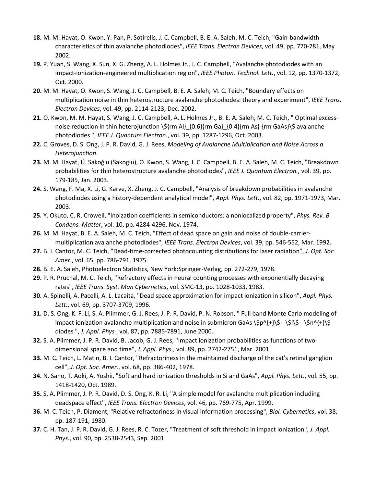- **18.** M. M. Hayat, O. Kwon, Y. Pan, P. Sotirelis, J. C. Campbell, B. E. A. Saleh, M. C. Teich, "Gain-bandwidth characteristics of thin avalanche photodiodes", *IEEE Trans. Electron Devices*, vol. 49, pp. 770-781, May 2002.
- **19.** P. Yuan, S. Wang, X. Sun, X. G. Zheng, A. L. Holmes Jr., J. C. Campbell, "Avalanche photodiodes with an impact-ionization-engineered multiplication region", *IEEE Photon. Technol. Lett.*, vol. 12, pp. 1370-1372, Oct. 2000.
- **20.** M. M. Hayat, O. Kwon, S. Wang, J. C. Campbell, B. E. A. Saleh, M. C. Teich, "Boundary effects on multiplication noise in thin heterostructure avalanche photodiodes: theory and experiment", *IEEE Trans. Electron Devices*, vol. 49, pp. 2114-2123, Dec. 2002.
- **21.** O. Kwon, M. M. Hayat, S. Wang, J. C. Campbell, A. L. Holmes Jr., B. E. A. Saleh, M. C. Teich, " Optimal excessnoise reduction in thin heterojunction \\${rm Al}\_{0.6}{rm Ga}\_{0.4}{rm As}-{rm GaAs}\\$ avalanche photodiodes ", *IEEE J. Quantum Electron.*, vol. 39, pp. 1287-1296, Oct. 2003.
- **22.** C. Groves, D. S. Ong, J. P. R. David, G. J. Rees, *Modeling of Avalanche Multiplication and Noise Across a Heterojunction*.
- **23.** M. M. Hayat, Ü. Sakoğlu (Sakoglu), O. Kwon, S. Wang, J. C. Campbell, B. E. A. Saleh, M. C. Teich, "Breakdown probabilities for thin heterostructure avalanche photodiodes", *IEEE J. Quantum Electron.*, vol. 39, pp. 179-185, Jan. 2003.
- **24.** S. Wang, F. Ma, X. Li, G. Karve, X. Zheng, J. C. Campbell, "Analysis of breakdown probabilities in avalanche photodiodes using a history-dependent analytical model", *Appl. Phys. Lett.*, vol. 82, pp. 1971-1973, Mar. 2003.
- **25.** Y. Okuto, C. R. Crowell, "Inoization coefficients in semiconductors: a nonlocalized property", *Phys. Rev. B Condens. Matter*, vol. 10, pp. 4284-4296, Nov. 1974.
- **26.** M. M. Hayat, B. E. A. Saleh, M. C. Teich, "Effect of dead space on gain and noise of double-carriermultiplication avalanche photodiodes", *IEEE Trans. Electron Devices*, vol. 39, pp. 546-552, Mar. 1992.
- **27.** B. I. Cantor, M. C. Teich, "Dead-time-corrected photocounting distributions for laser radiation", *J. Opt. Soc. Amer.*, vol. 65, pp. 786-791, 1975.
- **28.** B. E. A. Saleh, Photoelectron Statistics, New York:Springer-Verlag, pp. 272-279, 1978.
- **29.** P. R. Prucnal, M. C. Teich, "Refractory effects in neural counting processes with exponentially decaying rates", *IEEE Trans. Syst. Man Cybernetics*, vol. SMC-13, pp. 1028-1033, 1983.
- **30.** A. Spinelli, A. Pacelli, A. L. Lacaita, "Dead space approximation for impact ionization in silicon", *Appl. Phys. Lett.*, vol. 69, pp. 3707-3709, 1996.
- **31.** D. S. Ong, K. F. Li, S. A. Plimmer, G. J. Rees, J. P. R. David, P. N. Robson, " Full band Monte Carlo modeling of impact ionization avalanche multiplication and noise in submicron GaAs  $\sin^{-1}\frac{1}{3} - \sin^{-1}\frac{1}{3}$ diodes ", *J. Appl. Phys.*, vol. 87, pp. 7885-7891, June 2000.
- **32.** S. A. Plimmer, J. P. R. David, B. Jacob, G. J. Rees, "Impact ionization probabilities as functions of twodimensional space and time", *J. Appl. Phys.*, vol. 89, pp. 2742-2751, Mar. 2001.
- **33.** M. C. Teich, L. Matin, B. I. Cantor, "Refractoriness in the maintained discharge of the cat's retinal ganglion cell", *J. Opt. Soc. Amer.*, vol. 68, pp. 386-402, 1978.
- **34.** N. Sano, T. Aoki, A. Yoshii, "Soft and hard ionization thresholds in Si and GaAs", *Appl. Phys. Lett.*, vol. 55, pp. 1418-1420, Oct. 1989.
- **35.** S. A. Plimmer, J. P. R. David, D. S. Ong, K. R. Li, "A simple model for avalanche multiplication including deadspace effect", *IEEE Trans. Electron Devices*, vol. 46, pp. 769-775, Apr. 1999.
- **36.** M. C. Teich, P. Diament, "Relative refractoriness in visual information processing", *Biol. Cybernetics*, vol. 38, pp. 187-191, 1980.
- **37.** C. H. Tan, J. P. R. David, G. J. Rees, R. C. Tozer, "Treatment of soft threshold in impact ionization", *J. Appl. Phys.*, vol. 90, pp. 2538-2543, Sep. 2001.